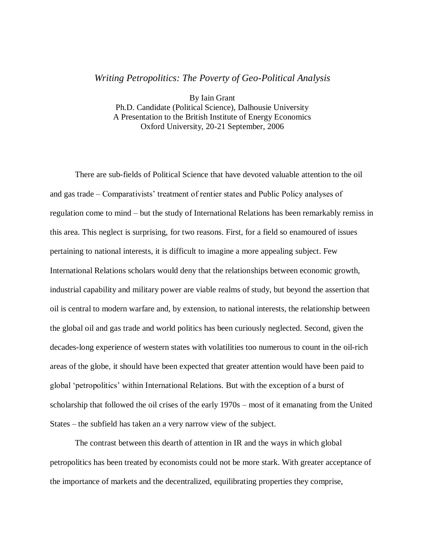# *Writing Petropolitics: The Poverty of Geo-Political Analysis*

By Iain Grant Ph.D. Candidate (Political Science), Dalhousie University A Presentation to the British Institute of Energy Economics Oxford University, 20-21 September, 2006

There are sub-fields of Political Science that have devoted valuable attention to the oil and gas trade – Comparativists' treatment of rentier states and Public Policy analyses of regulation come to mind – but the study of International Relations has been remarkably remiss in this area. This neglect is surprising, for two reasons. First, for a field so enamoured of issues pertaining to national interests, it is difficult to imagine a more appealing subject. Few International Relations scholars would deny that the relationships between economic growth, industrial capability and military power are viable realms of study, but beyond the assertion that oil is central to modern warfare and, by extension, to national interests, the relationship between the global oil and gas trade and world politics has been curiously neglected. Second, given the decades-long experience of western states with volatilities too numerous to count in the oil-rich areas of the globe, it should have been expected that greater attention would have been paid to global 'petropolitics' within International Relations. But with the exception of a burst of scholarship that followed the oil crises of the early 1970s – most of it emanating from the United States – the subfield has taken an a very narrow view of the subject.

The contrast between this dearth of attention in IR and the ways in which global petropolitics has been treated by economists could not be more stark. With greater acceptance of the importance of markets and the decentralized, equilibrating properties they comprise,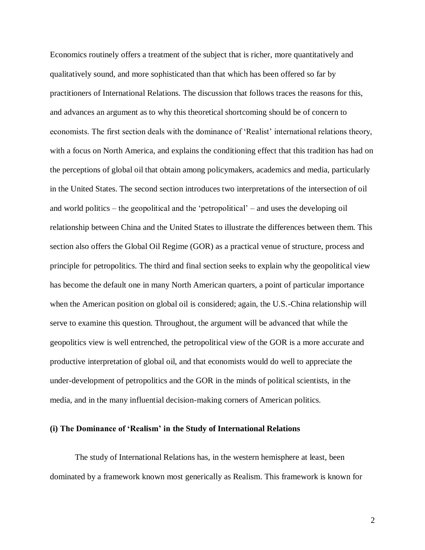Economics routinely offers a treatment of the subject that is richer, more quantitatively and qualitatively sound, and more sophisticated than that which has been offered so far by practitioners of International Relations. The discussion that follows traces the reasons for this, and advances an argument as to why this theoretical shortcoming should be of concern to economists. The first section deals with the dominance of 'Realist' international relations theory, with a focus on North America, and explains the conditioning effect that this tradition has had on the perceptions of global oil that obtain among policymakers, academics and media, particularly in the United States. The second section introduces two interpretations of the intersection of oil and world politics – the geopolitical and the 'petropolitical' – and uses the developing oil relationship between China and the United States to illustrate the differences between them. This section also offers the Global Oil Regime (GOR) as a practical venue of structure, process and principle for petropolitics. The third and final section seeks to explain why the geopolitical view has become the default one in many North American quarters, a point of particular importance when the American position on global oil is considered; again, the U.S.-China relationship will serve to examine this question. Throughout, the argument will be advanced that while the geopolitics view is well entrenched, the petropolitical view of the GOR is a more accurate and productive interpretation of global oil, and that economists would do well to appreciate the under-development of petropolitics and the GOR in the minds of political scientists, in the media, and in the many influential decision-making corners of American politics.

#### **(i) The Dominance of 'Realism' in the Study of International Relations**

The study of International Relations has, in the western hemisphere at least, been dominated by a framework known most generically as Realism. This framework is known for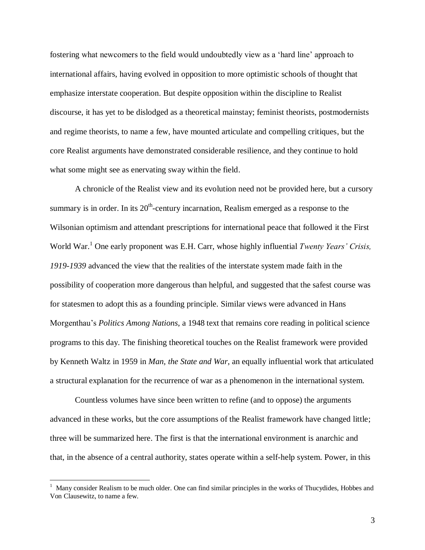fostering what newcomers to the field would undoubtedly view as a 'hard line' approach to international affairs, having evolved in opposition to more optimistic schools of thought that emphasize interstate cooperation. But despite opposition within the discipline to Realist discourse, it has yet to be dislodged as a theoretical mainstay; feminist theorists, postmodernists and regime theorists, to name a few, have mounted articulate and compelling critiques, but the core Realist arguments have demonstrated considerable resilience, and they continue to hold what some might see as enervating sway within the field.

A chronicle of the Realist view and its evolution need not be provided here, but a cursory summary is in order. In its  $20<sup>th</sup>$ -century incarnation, Realism emerged as a response to the Wilsonian optimism and attendant prescriptions for international peace that followed it the First World War. <sup>1</sup> One early proponent was E.H. Carr, whose highly influential *Twenty Years' Crisis, 1919-1939* advanced the view that the realities of the interstate system made faith in the possibility of cooperation more dangerous than helpful, and suggested that the safest course was for statesmen to adopt this as a founding principle. Similar views were advanced in Hans Morgenthau's *Politics Among Nations*, a 1948 text that remains core reading in political science programs to this day. The finishing theoretical touches on the Realist framework were provided by Kenneth Waltz in 1959 in *Man, the State and War*, an equally influential work that articulated a structural explanation for the recurrence of war as a phenomenon in the international system.

Countless volumes have since been written to refine (and to oppose) the arguments advanced in these works, but the core assumptions of the Realist framework have changed little; three will be summarized here. The first is that the international environment is anarchic and that, in the absence of a central authority, states operate within a self-help system. Power, in this

 $1$  Many consider Realism to be much older. One can find similar principles in the works of Thucydides, Hobbes and Von Clausewitz, to name a few.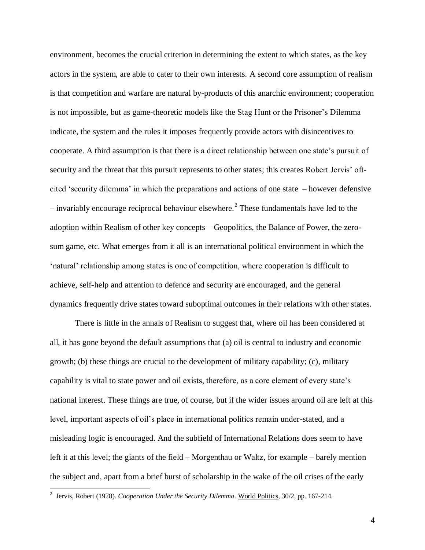environment, becomes the crucial criterion in determining the extent to which states, as the key actors in the system, are able to cater to their own interests. A second core assumption of realism is that competition and warfare are natural by-products of this anarchic environment; cooperation is not impossible, but as game-theoretic models like the Stag Hunt or the Prisoner's Dilemma indicate, the system and the rules it imposes frequently provide actors with disincentives to cooperate. A third assumption is that there is a direct relationship between one state's pursuit of security and the threat that this pursuit represents to other states; this creates Robert Jervis' oftcited 'security dilemma' in which the preparations and actions of one state – however defensive  $-$  invariably encourage reciprocal behaviour elsewhere.<sup>2</sup> These fundamentals have led to the adoption within Realism of other key concepts – Geopolitics, the Balance of Power, the zerosum game, etc. What emerges from it all is an international political environment in which the 'natural' relationship among states is one of competition, where cooperation is difficult to achieve, self-help and attention to defence and security are encouraged, and the general dynamics frequently drive states toward suboptimal outcomes in their relations with other states.

There is little in the annals of Realism to suggest that, where oil has been considered at all, it has gone beyond the default assumptions that (a) oil is central to industry and economic growth; (b) these things are crucial to the development of military capability; (c), military capability is vital to state power and oil exists, therefore, as a core element of every state's national interest. These things are true, of course, but if the wider issues around oil are left at this level, important aspects of oil's place in international politics remain under-stated, and a misleading logic is encouraged. And the subfield of International Relations does seem to have left it at this level; the giants of the field – Morgenthau or Waltz, for example – barely mention the subject and, apart from a brief burst of scholarship in the wake of the oil crises of the early

<sup>&</sup>lt;sup>2</sup> Jervis, Robert (1978). *Cooperation Under the Security Dilemma*. World Politics, 30/2, pp. 167-214.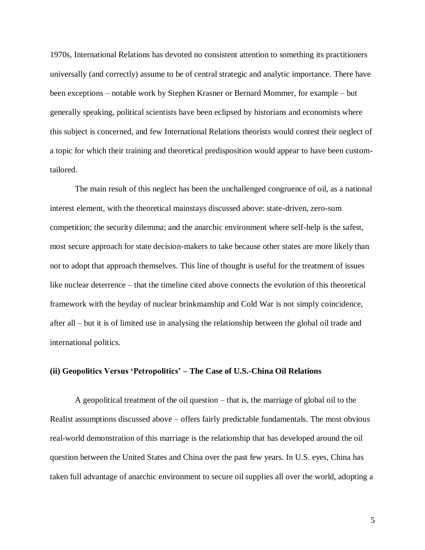1970s, International Relations has devoted no consistent attention to something its practitioners universally (and correctly) assume to be of central strategic and analytic importance. There have been exceptions – notable work by Stephen Krasner or Bernard Mommer, for example – but generally speaking, political scientists have been eclipsed by historians and economists where this subject is concerned, and few International Relations theorists would contest their neglect of a topic for which their training and theoretical predisposition would appear to have been customtailored.

The main result of this neglect has been the unchallenged congruence of oil, as a national interest element, with the theoretical mainstays discussed above: state-driven, zero-sum competition; the security dilemma; and the anarchic environment where self-help is the safest, most secure approach for state decision-makers to take because other states are more likely than not to adopt that approach themselves. This line of thought is useful for the treatment of issues like nuclear deterrence – that the timeline cited above connects the evolution of this theoretical framework with the heyday of nuclear brinkmanship and Cold War is not simply coincidence, after all – but it is of limited use in analysing the relationship between the global oil trade and international politics.

# **(ii) Geopolitics Versus 'Petropolitics' – The Case of U.S.-China Oil Relations**

A geopolitical treatment of the oil question – that is, the marriage of global oil to the Realist assumptions discussed above – offers fairly predictable fundamentals. The most obvious real-world demonstration of this marriage is the relationship that has developed around the oil question between the United States and China over the past few years. In U.S. eyes, China has taken full advantage of anarchic environment to secure oil supplies all over the world, adopting a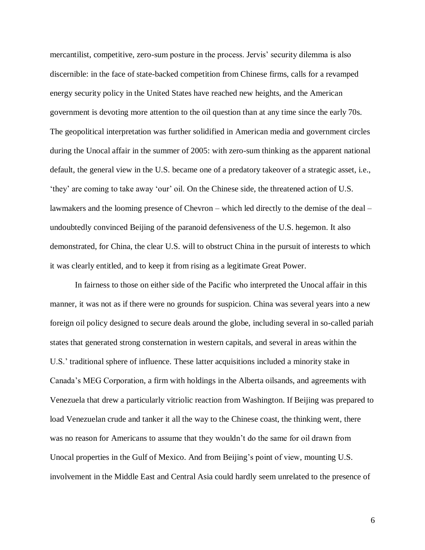mercantilist, competitive, zero-sum posture in the process. Jervis' security dilemma is also discernible: in the face of state-backed competition from Chinese firms, calls for a revamped energy security policy in the United States have reached new heights, and the American government is devoting more attention to the oil question than at any time since the early 70s. The geopolitical interpretation was further solidified in American media and government circles during the Unocal affair in the summer of 2005: with zero-sum thinking as the apparent national default, the general view in the U.S. became one of a predatory takeover of a strategic asset, i.e., 'they' are coming to take away 'our' oil. On the Chinese side, the threatened action of U.S. lawmakers and the looming presence of Chevron – which led directly to the demise of the deal – undoubtedly convinced Beijing of the paranoid defensiveness of the U.S. hegemon. It also demonstrated, for China, the clear U.S. will to obstruct China in the pursuit of interests to which it was clearly entitled, and to keep it from rising as a legitimate Great Power.

In fairness to those on either side of the Pacific who interpreted the Unocal affair in this manner, it was not as if there were no grounds for suspicion. China was several years into a new foreign oil policy designed to secure deals around the globe, including several in so-called pariah states that generated strong consternation in western capitals, and several in areas within the U.S.' traditional sphere of influence. These latter acquisitions included a minority stake in Canada's MEG Corporation, a firm with holdings in the Alberta oilsands, and agreements with Venezuela that drew a particularly vitriolic reaction from Washington. If Beijing was prepared to load Venezuelan crude and tanker it all the way to the Chinese coast, the thinking went, there was no reason for Americans to assume that they wouldn't do the same for oil drawn from Unocal properties in the Gulf of Mexico. And from Beijing's point of view, mounting U.S. involvement in the Middle East and Central Asia could hardly seem unrelated to the presence of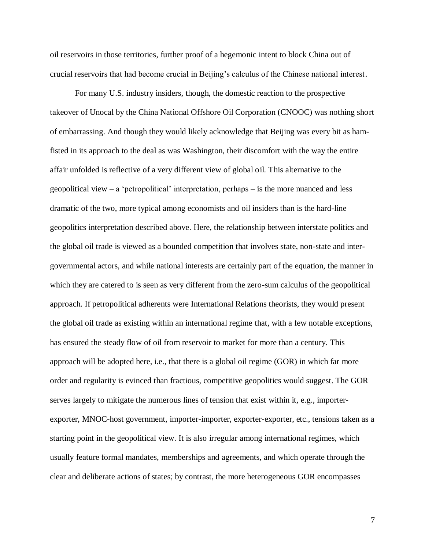oil reservoirs in those territories, further proof of a hegemonic intent to block China out of crucial reservoirs that had become crucial in Beijing's calculus of the Chinese national interest.

For many U.S. industry insiders, though, the domestic reaction to the prospective takeover of Unocal by the China National Offshore Oil Corporation (CNOOC) was nothing short of embarrassing. And though they would likely acknowledge that Beijing was every bit as hamfisted in its approach to the deal as was Washington, their discomfort with the way the entire affair unfolded is reflective of a very different view of global oil. This alternative to the geopolitical view – a 'petropolitical' interpretation, perhaps – is the more nuanced and less dramatic of the two, more typical among economists and oil insiders than is the hard-line geopolitics interpretation described above. Here, the relationship between interstate politics and the global oil trade is viewed as a bounded competition that involves state, non-state and intergovernmental actors, and while national interests are certainly part of the equation, the manner in which they are catered to is seen as very different from the zero-sum calculus of the geopolitical approach. If petropolitical adherents were International Relations theorists, they would present the global oil trade as existing within an international regime that, with a few notable exceptions, has ensured the steady flow of oil from reservoir to market for more than a century. This approach will be adopted here, i.e., that there is a global oil regime (GOR) in which far more order and regularity is evinced than fractious, competitive geopolitics would suggest. The GOR serves largely to mitigate the numerous lines of tension that exist within it, e.g., importerexporter, MNOC-host government, importer-importer, exporter-exporter, etc., tensions taken as a starting point in the geopolitical view. It is also irregular among international regimes, which usually feature formal mandates, memberships and agreements, and which operate through the clear and deliberate actions of states; by contrast, the more heterogeneous GOR encompasses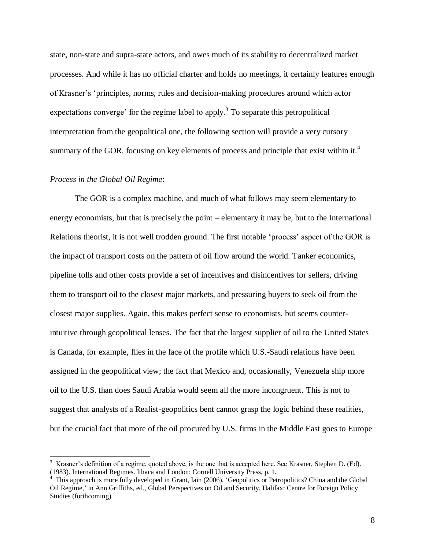state, non-state and supra-state actors, and owes much of its stability to decentralized market processes. And while it has no official charter and holds no meetings, it certainly features enough of Krasner's 'principles, norms, rules and decision-making procedures around which actor expectations converge' for the regime label to apply.<sup>3</sup> To separate this petropolitical interpretation from the geopolitical one, the following section will provide a very cursory summary of the GOR, focusing on key elements of process and principle that exist within it.<sup>4</sup>

# *Process in the Global Oil Regime*:

 $\overline{a}$ 

The GOR is a complex machine, and much of what follows may seem elementary to energy economists, but that is precisely the point – elementary it may be, but to the International Relations theorist, it is not well trodden ground. The first notable 'process' aspect of the GOR is the impact of transport costs on the pattern of oil flow around the world. Tanker economics, pipeline tolls and other costs provide a set of incentives and disincentives for sellers, driving them to transport oil to the closest major markets, and pressuring buyers to seek oil from the closest major supplies. Again, this makes perfect sense to economists, but seems counterintuitive through geopolitical lenses. The fact that the largest supplier of oil to the United States is Canada, for example, flies in the face of the profile which U.S.-Saudi relations have been assigned in the geopolitical view; the fact that Mexico and, occasionally, Venezuela ship more oil to the U.S. than does Saudi Arabia would seem all the more incongruent. This is not to suggest that analysts of a Realist-geopolitics bent cannot grasp the logic behind these realities, but the crucial fact that more of the oil procured by U.S. firms in the Middle East goes to Europe

 $3\,$  Krasner's definition of a regime, quoted above, is the one that is accepted here. See Krasner, Stephen D. (Ed). (1983). International Regimes. Ithaca and London: Cornell University Press, p. 1.

<sup>&</sup>lt;sup>4</sup> This approach is more fully developed in Grant, Iain (2006). 'Geopolitics or Petropolitics? China and the Global Oil Regime,' in Ann Griffiths, ed., Global Perspectives on Oil and Security. Halifax: Centre for Foreign Policy Studies (forthcoming).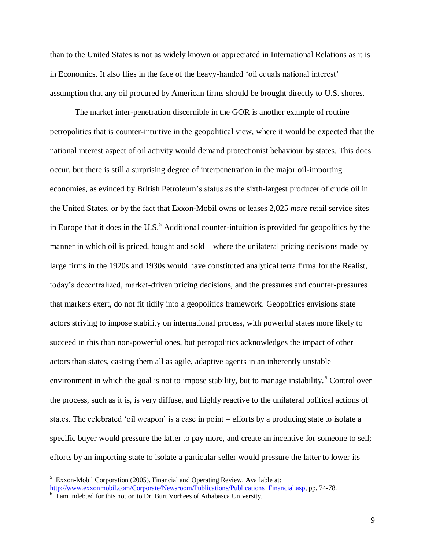than to the United States is not as widely known or appreciated in International Relations as it is in Economics. It also flies in the face of the heavy-handed 'oil equals national interest' assumption that any oil procured by American firms should be brought directly to U.S. shores.

The market inter-penetration discernible in the GOR is another example of routine petropolitics that is counter-intuitive in the geopolitical view, where it would be expected that the national interest aspect of oil activity would demand protectionist behaviour by states. This does occur, but there is still a surprising degree of interpenetration in the major oil-importing economies, as evinced by British Petroleum's status as the sixth-largest producer of crude oil in the United States, or by the fact that Exxon-Mobil owns or leases 2,025 *more* retail service sites in Europe that it does in the U.S.<sup>5</sup> Additional counter-intuition is provided for geopolitics by the manner in which oil is priced, bought and sold – where the unilateral pricing decisions made by large firms in the 1920s and 1930s would have constituted analytical terra firma for the Realist, today's decentralized, market-driven pricing decisions, and the pressures and counter-pressures that markets exert, do not fit tidily into a geopolitics framework. Geopolitics envisions state actors striving to impose stability on international process, with powerful states more likely to succeed in this than non-powerful ones, but petropolitics acknowledges the impact of other actors than states, casting them all as agile, adaptive agents in an inherently unstable environment in which the goal is not to impose stability, but to manage instability.<sup>6</sup> Control over the process, such as it is, is very diffuse, and highly reactive to the unilateral political actions of states. The celebrated 'oil weapon' is a case in point – efforts by a producing state to isolate a specific buyer would pressure the latter to pay more, and create an incentive for someone to sell; efforts by an importing state to isolate a particular seller would pressure the latter to lower its

<sup>&</sup>lt;sup>5</sup> Exxon-Mobil Corporation (2005). Financial and Operating Review. Available at: [http://www.exxonmobil.com/Corporate/Newsroom/Publications/Publications\\_Financial.asp,](http://www.exxonmobil.com/Corporate/Newsroom/Publications/Publications_Financial.asp) pp. 74-78.

<sup>&</sup>lt;sup>6</sup> I am indebted for this notion to Dr. Burt Vorhees of Athabasca University.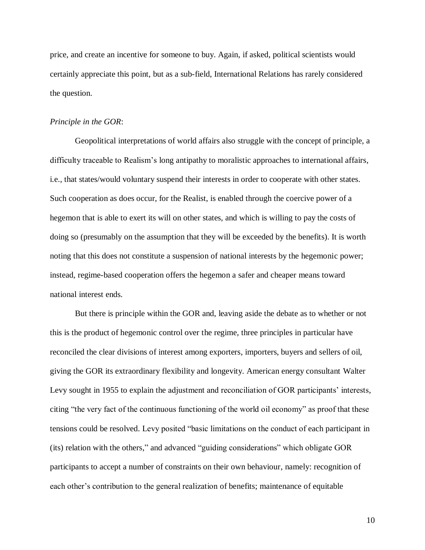price, and create an incentive for someone to buy. Again, if asked, political scientists would certainly appreciate this point, but as a sub-field, International Relations has rarely considered the question.

# *Principle in the GOR*:

Geopolitical interpretations of world affairs also struggle with the concept of principle, a difficulty traceable to Realism's long antipathy to moralistic approaches to international affairs, i.e., that states/would voluntary suspend their interests in order to cooperate with other states. Such cooperation as does occur, for the Realist, is enabled through the coercive power of a hegemon that is able to exert its will on other states, and which is willing to pay the costs of doing so (presumably on the assumption that they will be exceeded by the benefits). It is worth noting that this does not constitute a suspension of national interests by the hegemonic power; instead, regime-based cooperation offers the hegemon a safer and cheaper means toward national interest ends.

But there is principle within the GOR and, leaving aside the debate as to whether or not this is the product of hegemonic control over the regime, three principles in particular have reconciled the clear divisions of interest among exporters, importers, buyers and sellers of oil, giving the GOR its extraordinary flexibility and longevity. American energy consultant Walter Levy sought in 1955 to explain the adjustment and reconciliation of GOR participants' interests, citing "the very fact of the continuous functioning of the world oil economy" as proof that these tensions could be resolved. Levy posited "basic limitations on the conduct of each participant in (its) relation with the others," and advanced "guiding considerations" which obligate GOR participants to accept a number of constraints on their own behaviour, namely: recognition of each other's contribution to the general realization of benefits; maintenance of equitable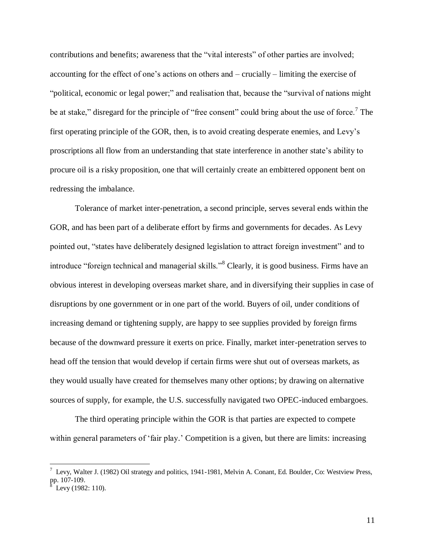contributions and benefits; awareness that the "vital interests" of other parties are involved; accounting for the effect of one's actions on others and – crucially – limiting the exercise of "political, economic or legal power;" and realisation that, because the "survival of nations might be at stake," disregard for the principle of "free consent" could bring about the use of force.<sup>7</sup> The first operating principle of the GOR, then, is to avoid creating desperate enemies, and Levy's proscriptions all flow from an understanding that state interference in another state's ability to procure oil is a risky proposition, one that will certainly create an embittered opponent bent on redressing the imbalance.

Tolerance of market inter-penetration, a second principle, serves several ends within the GOR, and has been part of a deliberate effort by firms and governments for decades. As Levy pointed out, "states have deliberately designed legislation to attract foreign investment" and to introduce "foreign technical and managerial skills."<sup>8</sup> Clearly, it is good business. Firms have an obvious interest in developing overseas market share, and in diversifying their supplies in case of disruptions by one government or in one part of the world. Buyers of oil, under conditions of increasing demand or tightening supply, are happy to see supplies provided by foreign firms because of the downward pressure it exerts on price. Finally, market inter-penetration serves to head off the tension that would develop if certain firms were shut out of overseas markets, as they would usually have created for themselves many other options; by drawing on alternative sources of supply, for example, the U.S. successfully navigated two OPEC-induced embargoes.

The third operating principle within the GOR is that parties are expected to compete within general parameters of 'fair play.' Competition is a given, but there are limits: increasing

 $^7$  Levy, Walter J. (1982) Oil strategy and politics, 1941-1981, Melvin A. Conant, Ed. Boulder, Co: Westview Press, pp. 107-109.

Levy (1982: 110).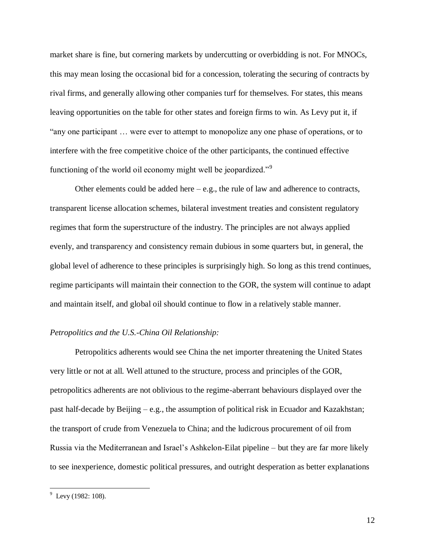market share is fine, but cornering markets by undercutting or overbidding is not. For MNOCs, this may mean losing the occasional bid for a concession, tolerating the securing of contracts by rival firms, and generally allowing other companies turf for themselves. For states, this means leaving opportunities on the table for other states and foreign firms to win. As Levy put it, if "any one participant … were ever to attempt to monopolize any one phase of operations, or to interfere with the free competitive choice of the other participants, the continued effective functioning of the world oil economy might well be jeopardized."<sup>9</sup>

Other elements could be added here  $-e.g.,$  the rule of law and adherence to contracts, transparent license allocation schemes, bilateral investment treaties and consistent regulatory regimes that form the superstructure of the industry. The principles are not always applied evenly, and transparency and consistency remain dubious in some quarters but, in general, the global level of adherence to these principles is surprisingly high. So long as this trend continues, regime participants will maintain their connection to the GOR, the system will continue to adapt and maintain itself, and global oil should continue to flow in a relatively stable manner.

# *Petropolitics and the U.S.-China Oil Relationship:*

Petropolitics adherents would see China the net importer threatening the United States very little or not at all. Well attuned to the structure, process and principles of the GOR, petropolitics adherents are not oblivious to the regime-aberrant behaviours displayed over the past half-decade by Beijing – e.g., the assumption of political risk in Ecuador and Kazakhstan; the transport of crude from Venezuela to China; and the ludicrous procurement of oil from Russia via the Mediterranean and Israel's Ashkelon-Eilat pipeline – but they are far more likely to see inexperience, domestic political pressures, and outright desperation as better explanations

 $\overline{a}$ 

 $9$  Levy (1982: 108).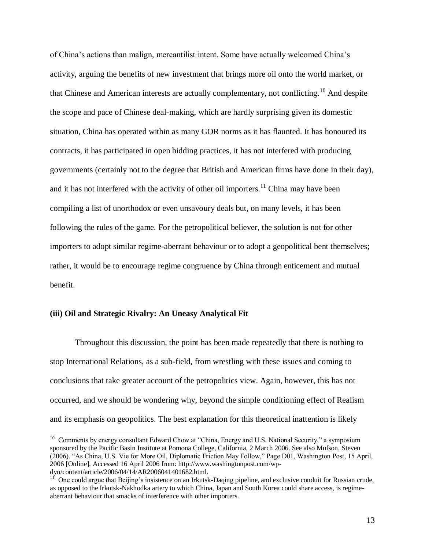of China's actions than malign, mercantilist intent. Some have actually welcomed China's activity, arguing the benefits of new investment that brings more oil onto the world market, or that Chinese and American interests are actually complementary, not conflicting.<sup>10</sup> And despite the scope and pace of Chinese deal-making, which are hardly surprising given its domestic situation, China has operated within as many GOR norms as it has flaunted. It has honoured its contracts, it has participated in open bidding practices, it has not interfered with producing governments (certainly not to the degree that British and American firms have done in their day), and it has not interfered with the activity of other oil importers.<sup>11</sup> China may have been compiling a list of unorthodox or even unsavoury deals but, on many levels, it has been following the rules of the game. For the petropolitical believer, the solution is not for other importers to adopt similar regime-aberrant behaviour or to adopt a geopolitical bent themselves; rather, it would be to encourage regime congruence by China through enticement and mutual benefit.

### **(iii) Oil and Strategic Rivalry: An Uneasy Analytical Fit**

 $\overline{a}$ 

Throughout this discussion, the point has been made repeatedly that there is nothing to stop International Relations, as a sub-field, from wrestling with these issues and coming to conclusions that take greater account of the petropolitics view. Again, however, this has not occurred, and we should be wondering why, beyond the simple conditioning effect of Realism and its emphasis on geopolitics. The best explanation for this theoretical inattention is likely

<sup>&</sup>lt;sup>10</sup> Comments by energy consultant Edward Chow at "China, Energy and U.S. National Security," a symposium sponsored by the Pacific Basin Institute at Pomona College, California, 2 March 2006. See also Mufson, Steven (2006). "As China, U.S. Vie for More Oil, Diplomatic Friction May Follow," Page D01, Washington Post, 15 April, 2006 [Online]. Accessed 16 April 2006 from: http://www.washingtonpost.com/wpdyn/content/article/2006/04/14/AR2006041401682.html.

 $11$  One could argue that Beijing's insistence on an Irkutsk-Daqing pipeline, and exclusive conduit for Russian crude, as opposed to the Irkutsk-Nakhodka artery to which China, Japan and South Korea could share access, is regimeaberrant behaviour that smacks of interference with other importers.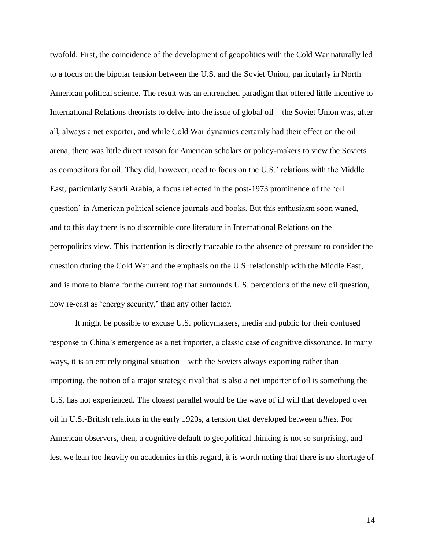twofold. First, the coincidence of the development of geopolitics with the Cold War naturally led to a focus on the bipolar tension between the U.S. and the Soviet Union, particularly in North American political science. The result was an entrenched paradigm that offered little incentive to International Relations theorists to delve into the issue of global oil – the Soviet Union was, after all, always a net exporter, and while Cold War dynamics certainly had their effect on the oil arena, there was little direct reason for American scholars or policy-makers to view the Soviets as competitors for oil. They did, however, need to focus on the U.S.' relations with the Middle East, particularly Saudi Arabia, a focus reflected in the post-1973 prominence of the 'oil question' in American political science journals and books. But this enthusiasm soon waned, and to this day there is no discernible core literature in International Relations on the petropolitics view. This inattention is directly traceable to the absence of pressure to consider the question during the Cold War and the emphasis on the U.S. relationship with the Middle East, and is more to blame for the current fog that surrounds U.S. perceptions of the new oil question, now re-cast as 'energy security,' than any other factor.

It might be possible to excuse U.S. policymakers, media and public for their confused response to China's emergence as a net importer, a classic case of cognitive dissonance. In many ways, it is an entirely original situation – with the Soviets always exporting rather than importing, the notion of a major strategic rival that is also a net importer of oil is something the U.S. has not experienced. The closest parallel would be the wave of ill will that developed over oil in U.S.-British relations in the early 1920s, a tension that developed between *allies*. For American observers, then, a cognitive default to geopolitical thinking is not so surprising, and lest we lean too heavily on academics in this regard, it is worth noting that there is no shortage of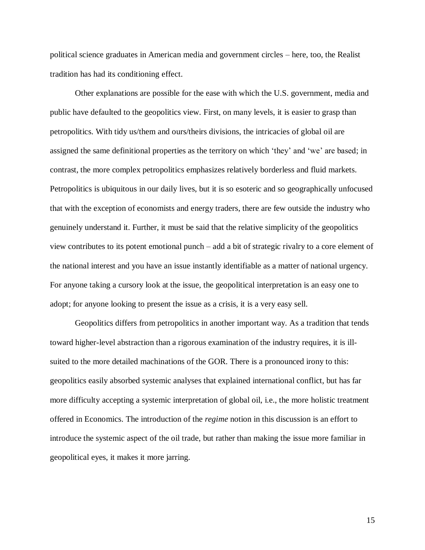political science graduates in American media and government circles – here, too, the Realist tradition has had its conditioning effect.

Other explanations are possible for the ease with which the U.S. government, media and public have defaulted to the geopolitics view. First, on many levels, it is easier to grasp than petropolitics. With tidy us/them and ours/theirs divisions, the intricacies of global oil are assigned the same definitional properties as the territory on which 'they' and 'we' are based; in contrast, the more complex petropolitics emphasizes relatively borderless and fluid markets. Petropolitics is ubiquitous in our daily lives, but it is so esoteric and so geographically unfocused that with the exception of economists and energy traders, there are few outside the industry who genuinely understand it. Further, it must be said that the relative simplicity of the geopolitics view contributes to its potent emotional punch – add a bit of strategic rivalry to a core element of the national interest and you have an issue instantly identifiable as a matter of national urgency. For anyone taking a cursory look at the issue, the geopolitical interpretation is an easy one to adopt; for anyone looking to present the issue as a crisis, it is a very easy sell.

Geopolitics differs from petropolitics in another important way. As a tradition that tends toward higher-level abstraction than a rigorous examination of the industry requires, it is illsuited to the more detailed machinations of the GOR. There is a pronounced irony to this: geopolitics easily absorbed systemic analyses that explained international conflict, but has far more difficulty accepting a systemic interpretation of global oil, i.e., the more holistic treatment offered in Economics. The introduction of the *regime* notion in this discussion is an effort to introduce the systemic aspect of the oil trade, but rather than making the issue more familiar in geopolitical eyes, it makes it more jarring.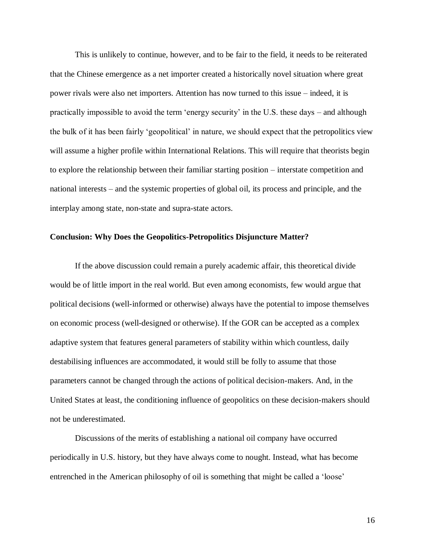This is unlikely to continue, however, and to be fair to the field, it needs to be reiterated that the Chinese emergence as a net importer created a historically novel situation where great power rivals were also net importers. Attention has now turned to this issue – indeed, it is practically impossible to avoid the term 'energy security' in the U.S. these days – and although the bulk of it has been fairly 'geopolitical' in nature, we should expect that the petropolitics view will assume a higher profile within International Relations. This will require that theorists begin to explore the relationship between their familiar starting position – interstate competition and national interests – and the systemic properties of global oil, its process and principle, and the interplay among state, non-state and supra-state actors.

### **Conclusion: Why Does the Geopolitics-Petropolitics Disjuncture Matter?**

If the above discussion could remain a purely academic affair, this theoretical divide would be of little import in the real world. But even among economists, few would argue that political decisions (well-informed or otherwise) always have the potential to impose themselves on economic process (well-designed or otherwise). If the GOR can be accepted as a complex adaptive system that features general parameters of stability within which countless, daily destabilising influences are accommodated, it would still be folly to assume that those parameters cannot be changed through the actions of political decision-makers. And, in the United States at least, the conditioning influence of geopolitics on these decision-makers should not be underestimated.

Discussions of the merits of establishing a national oil company have occurred periodically in U.S. history, but they have always come to nought. Instead, what has become entrenched in the American philosophy of oil is something that might be called a 'loose'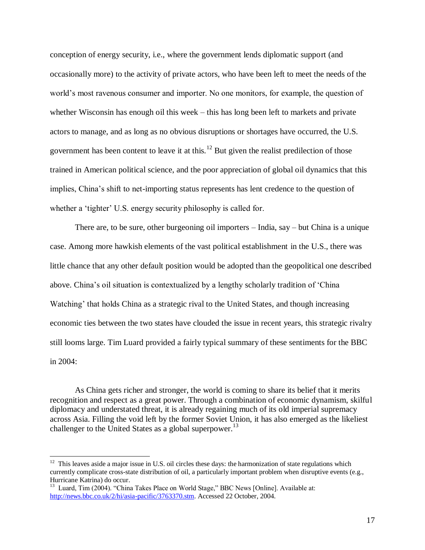conception of energy security, i.e., where the government lends diplomatic support (and occasionally more) to the activity of private actors, who have been left to meet the needs of the world's most ravenous consumer and importer. No one monitors, for example, the question of whether Wisconsin has enough oil this week – this has long been left to markets and private actors to manage, and as long as no obvious disruptions or shortages have occurred, the U.S. government has been content to leave it at this.<sup>12</sup> But given the realist predilection of those trained in American political science, and the poor appreciation of global oil dynamics that this implies, China's shift to net-importing status represents has lent credence to the question of whether a 'tighter' U.S. energy security philosophy is called for.

There are, to be sure, other burgeoning oil importers – India, say – but China is a unique case. Among more hawkish elements of the vast political establishment in the U.S., there was little chance that any other default position would be adopted than the geopolitical one described above. China's oil situation is contextualized by a lengthy scholarly tradition of 'China Watching' that holds China as a strategic rival to the United States, and though increasing economic ties between the two states have clouded the issue in recent years, this strategic rivalry still looms large. Tim Luard provided a fairly typical summary of these sentiments for the BBC in 2004:

As China gets richer and stronger, the world is coming to share its belief that it merits recognition and respect as a great power. Through a combination of economic dynamism, skilful diplomacy and understated threat, it is already regaining much of its old imperial supremacy across Asia. Filling the void left by the former Soviet Union, it has also emerged as the likeliest challenger to the United States as a global superpower.<sup>13</sup>

 $12$  This leaves aside a major issue in U.S. oil circles these days: the harmonization of state regulations which currently complicate cross-state distribution of oil, a particularly important problem when disruptive events (e.g., Hurricane Katrina) do occur.

<sup>&</sup>lt;sup>13</sup> Luard, Tim (2004). "China Takes Place on World Stage," BBC News [Online]. Available at: [http://news.bbc.co.uk/2/hi/asia-pacific/3763370.stm.](http://news.bbc.co.uk/2/hi/asia-pacific/3763370.stm) Accessed 22 October, 2004.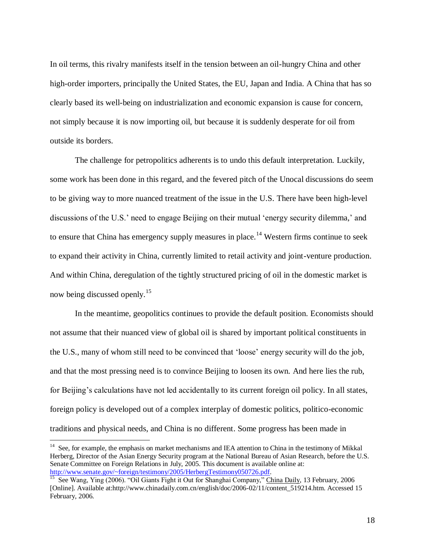In oil terms, this rivalry manifests itself in the tension between an oil-hungry China and other high-order importers, principally the United States, the EU, Japan and India. A China that has so clearly based its well-being on industrialization and economic expansion is cause for concern, not simply because it is now importing oil, but because it is suddenly desperate for oil from outside its borders.

The challenge for petropolitics adherents is to undo this default interpretation. Luckily, some work has been done in this regard, and the fevered pitch of the Unocal discussions do seem to be giving way to more nuanced treatment of the issue in the U.S. There have been high-level discussions of the U.S.' need to engage Beijing on their mutual 'energy security dilemma,' and to ensure that China has emergency supply measures in place.<sup>14</sup> Western firms continue to seek to expand their activity in China, currently limited to retail activity and joint-venture production. And within China, deregulation of the tightly structured pricing of oil in the domestic market is now being discussed openly.<sup>15</sup>

In the meantime, geopolitics continues to provide the default position. Economists should not assume that their nuanced view of global oil is shared by important political constituents in the U.S., many of whom still need to be convinced that 'loose' energy security will do the job, and that the most pressing need is to convince Beijing to loosen its own. And here lies the rub, for Beijing's calculations have not led accidentally to its current foreign oil policy. In all states, foreign policy is developed out of a complex interplay of domestic politics, politico-economic traditions and physical needs, and China is no different. Some progress has been made in

<sup>&</sup>lt;sup>14</sup> See, for example, the emphasis on market mechanisms and IEA attention to China in the testimony of Mikkal Herberg, Director of the Asian Energy Security program at the National Bureau of Asian Research, before the U.S. Senate Committee on Foreign Relations in July, 2005. This document is available online at: [http://www.senate.gov/~foreign/testimony/2005/HerbergTestimony050726.pdf.](http://www.senate.gov/~foreign/testimony/2005/HerbergTestimony050726.pdf)

<sup>&</sup>lt;sup>15</sup> See Wang, Ying (2006). "Oil Giants Fight it Out for Shanghai Company," China Daily, 13 February, 2006 [Online]. Available at:http://www.chinadaily.com.cn/english/doc/2006-02/11/content\_519214.htm. Accessed 15 February, 2006.